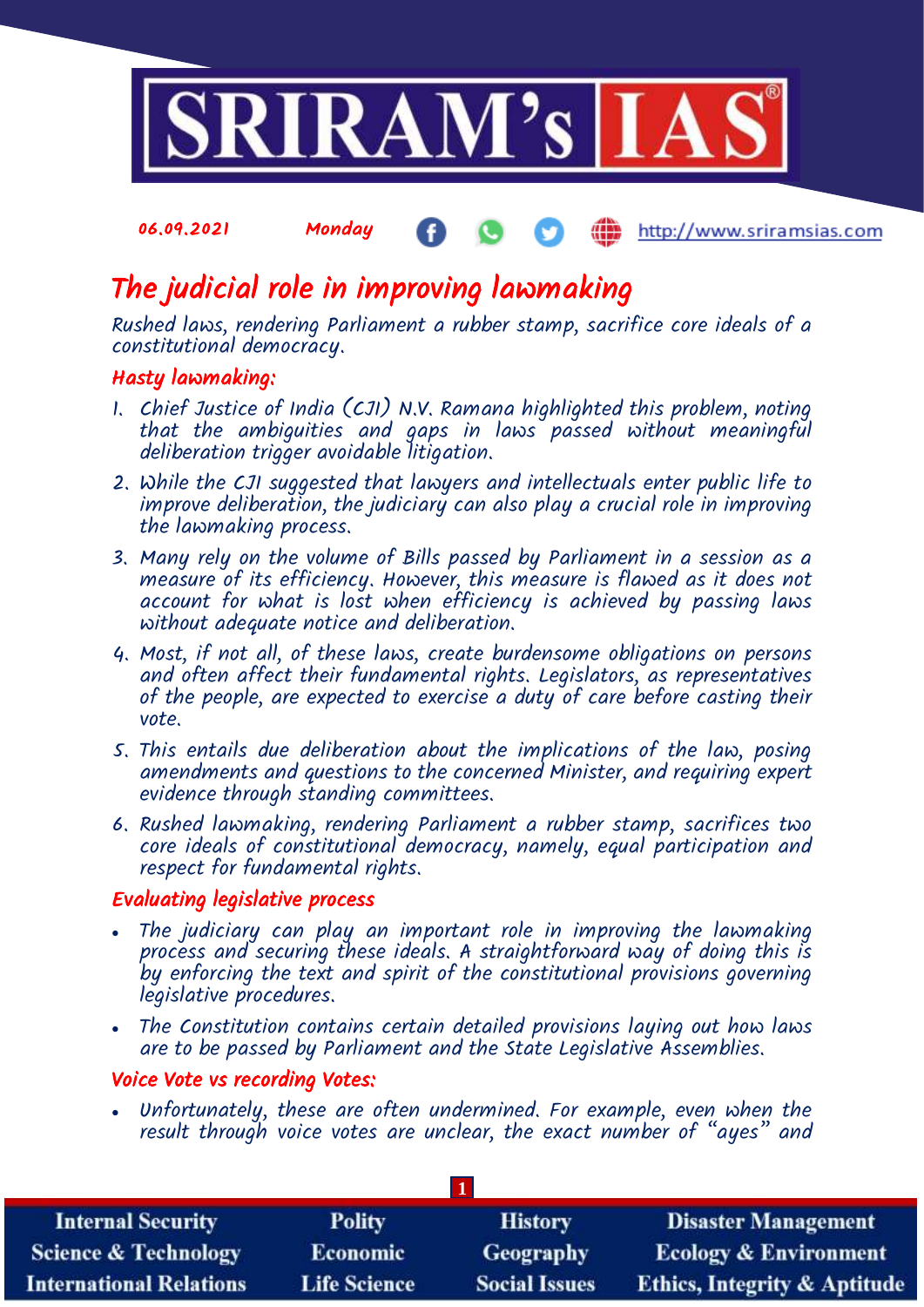

# The judicial role in improving lawmaking

Rushed laws, rendering Parliament a rubber stamp, sacrifice core ideals of a constitutional democracy.

# Hasty lawmaking:

- 1. Chief Justice of India (CJI) N.V. Ramana highlighted this problem, noting that the ambiguities and gaps in laws passed without meaningful deliberation trigger avoidable litigation.
- 2. While the CJI suggested that lawyers and intellectuals enter public life to improve deliberation, the judiciary can also play a crucial role in improving the lawmaking process.
- 3. Many rely on the volume of Bills passed by Parliament in a session as a measure of its efficiency. However, this measure is flawed as it does not account for what is lost when efficiency is achieved by passing laws without adequate notice and deliberation.
- 4. Most, if not all, of these laws, create burdensome obligations on persons and often affect their fundamental rights. Legislators, as representatives of the people, are expected to exercise a duty of care before casting their vote.
- 5. This entails due deliberation about the implications of the law, posing amendments and questions to the concerned Minister, and requiring expert evidence through standing committees.
- 6. Rushed lawmaking, rendering Parliament a rubber stamp, sacrifices two core ideals of constitutional democracy, namely, equal participation and respect for fundamental rights.

# Evaluating legislative process

- The judiciary can play an important role in improving the lawmaking process and securing these ideals. A straightforward way of doing this is by enforcing the text and spirit of the constitutional provisions governing legislative procedures.
- The Constitution contains certain detailed provisions laying out how laws are to be passed by Parliament and the State Legislative Assemblies.

# Voice Vote vs recording Votes:

 Unfortunately, these are often undermined. For example, even when the result through voice votes are unclear, the exact number of "ayes" and

| <b>Internal Security</b>        | <b>Polity</b>       | <b>History</b>       | <b>Disaster Management</b>              |
|---------------------------------|---------------------|----------------------|-----------------------------------------|
| <b>Science &amp; Technology</b> | <b>Economic</b>     | Geography            | <b>Ecology &amp; Environment</b>        |
| <b>International Relations</b>  | <b>Life Science</b> | <b>Social Issues</b> | <b>Ethics, Integrity &amp; Aptitude</b> |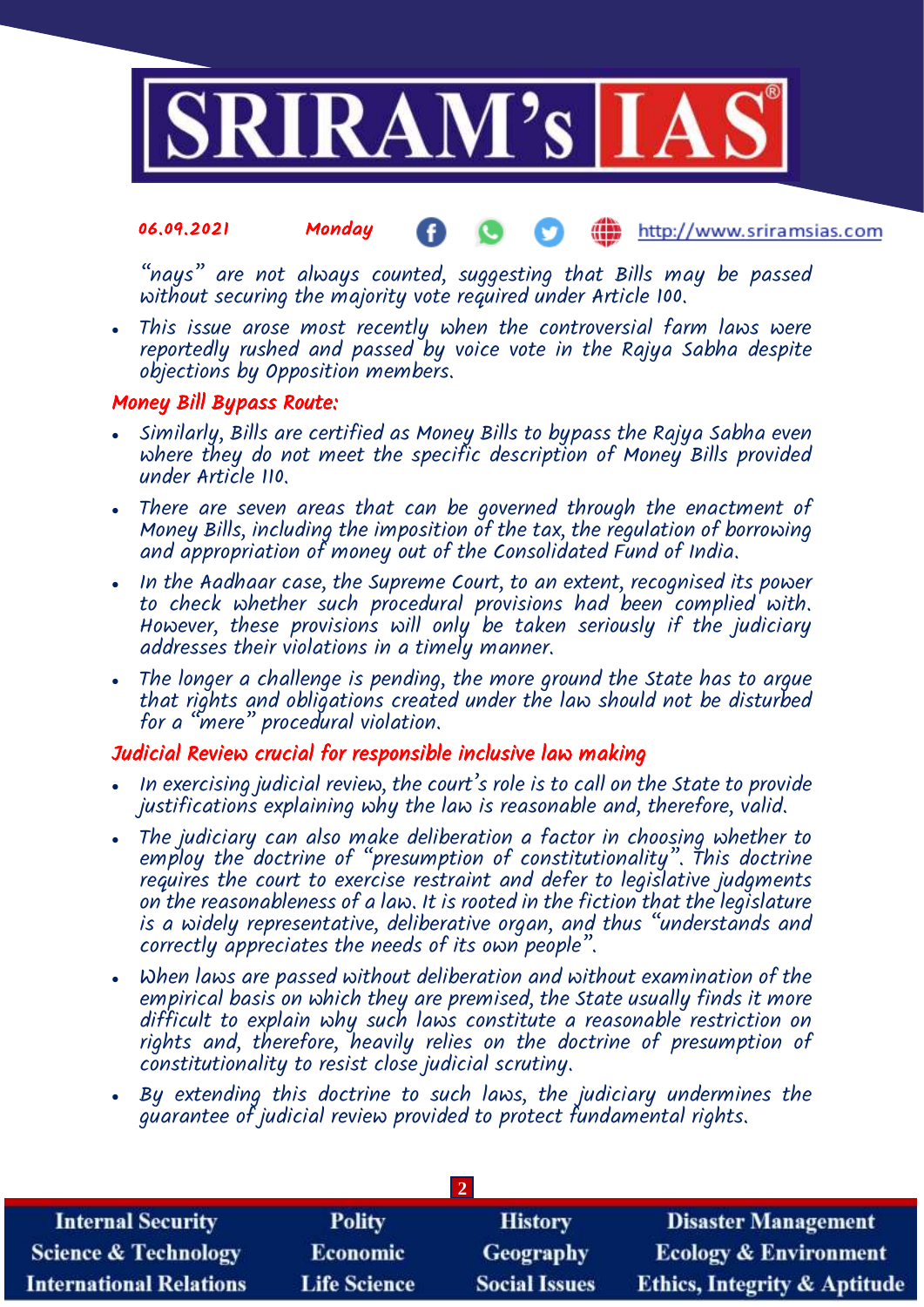

"nays" are not always counted, suggesting that Bills may be passed without securing the majority vote required under Article 100.

 This issue arose most recently when the controversial farm laws were reportedly rushed and passed by voice vote in the Rajya Sabha despite objections by Opposition members.

# Money Bill Bypass Route:

- Similarly, Bills are certified as Money Bills to bypass the Rajya Sabha even where they do not meet the specific description of Money Bills provided under Article 110.
- There are seven areas that can be governed through the enactment of Money Bills, including the imposition of the tax, the regulation of borrowing and appropriation of money out of the Consolidated Fund of India.
- In the Aadhaar case, the Supreme Court, to an extent, recognised its power to check whether such procedural provisions had been complied with. However, these provision's will only be taken seriously if the judiciary addresses their violations in a timely manner.
- The longer a challenge is pending, the more ground the State has to argue that rights and obligations created under the law should not be disturbed for a "mere" procedural violation.

# Judicial Review crucial for responsible inclusive law making

- In exercising judicial review, the court's role is to call on the State to provide justifications explaining why the law is reasonable and, therefore, valid.
- The judiciary can also make deliberation a factor in choosing whether to employ the doctrine of "presumption of constitutionality". This doctrine requires the court to exercise restraint and defer to legislative judgments on the reasonableness of a law. It is rooted in the fiction that the legislature is a widely representative, deliberative organ, and thus "understands and correctly appreciates the needs of its own people".
- When laws are passed without deliberation and without examination of the empirical basis on which they are premised, the State usually finds it more difficult to explain why such laws constitute a reasonable restriction on rights and, therefore, heavily relies on the doctrine of presumption of constitutionality to resist close judicial scrutiny.
- By extending this doctrine to such laws, the judiciary undermines the guarantee of judicial review provided to protect fundamental rights.

| <b>Internal Security</b>        | <b>Polity</b>       | <b>History</b>       | <b>Disaster Management</b>              |
|---------------------------------|---------------------|----------------------|-----------------------------------------|
| <b>Science &amp; Technology</b> | <b>Economic</b>     | Geography            | <b>Ecology &amp; Environment</b>        |
| <b>International Relations</b>  | <b>Life Science</b> | <b>Social Issues</b> | <b>Ethics, Integrity &amp; Aptitude</b> |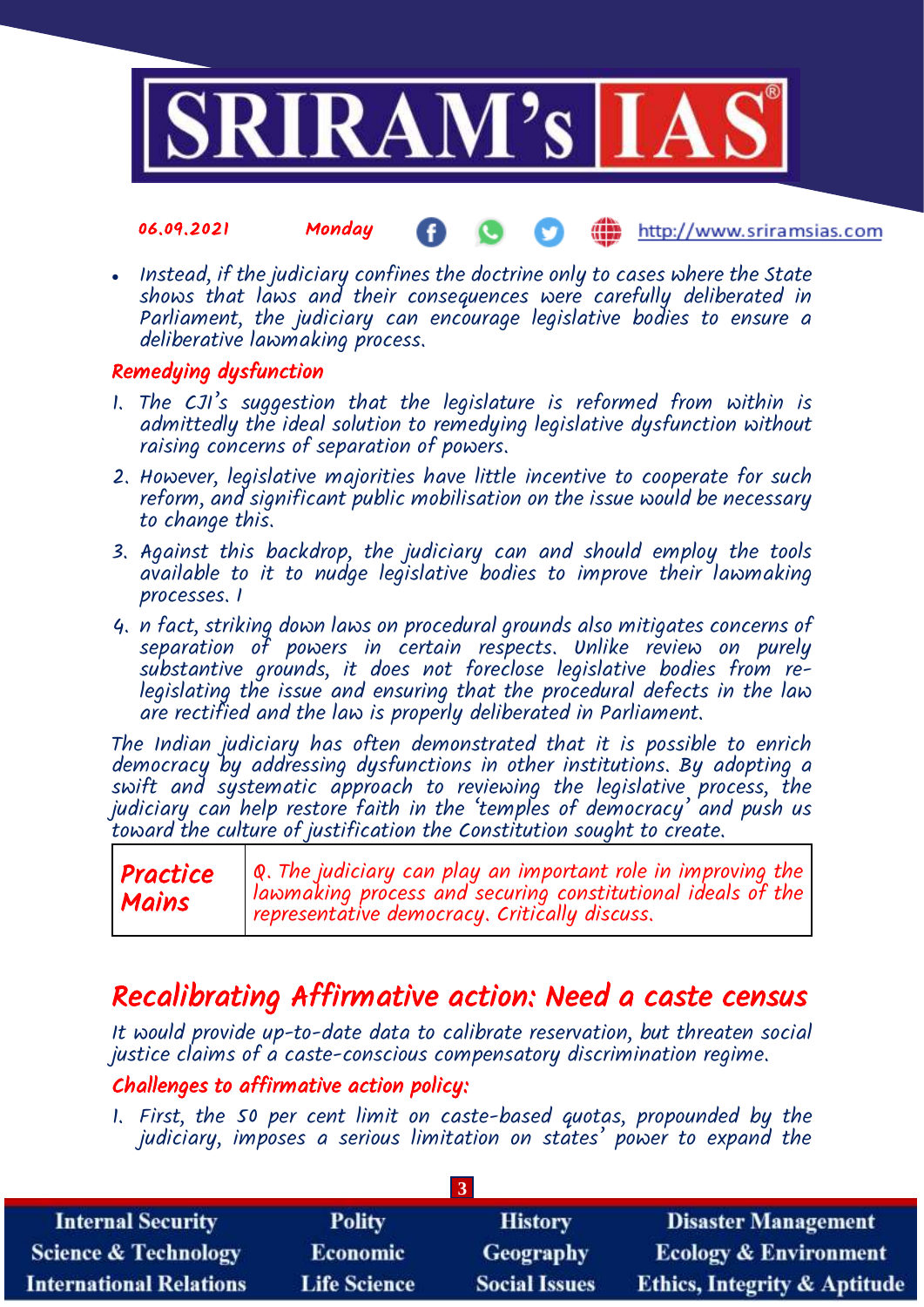

 Instead, if the judiciary confines the doctrine only to cases where the State shows that laws and their consequences were carefully deliberated in Parliament, the judiciary can encourage legislative bodies to ensure a deliberative lawmaking process.

# Remedying dysfunction

- 1. The CJI's suggestion that the legislature is reformed from within is admittedly the ideal solution to remedying legislative dysfunction without raising concerns of separation of powers.
- 2. However, legislative majorities have little incentive to cooperate for such reform, and significant public mobilisation on the issue would be necessary to change this.
- 3. Against this backdrop, the judiciary can and should employ the tools available to it to nudge legislative bodies to improve their lawmaking processes. I
- 4. n fact, striking down laws on procedural grounds also mitigates concerns of separation of powers in certain respects. Unlike review on purely substantive grounds, it does not foreclose legislative bodies from relegislating the issue and ensuring that the procedural defects in the law are rectified and the law is properly deliberated in Parliament.

The Indian judiciary has often demonstrated that it is possible to enrich democracy by addressing dysfunctions in other institutions. By adopting a swift and systematic approach to reviewing the legislative process, the judiciary can help restore faith in the 'temples of democracy' and push us toward the culture of justification the Constitution sought to create.

# Recalibrating Affirmative action: Need a caste census

It would provide up-to-date data to calibrate reservation, but threaten social justice claims of a caste-conscious compensatory discrimination regime.

# Challenges to affirmative action policy:

1. First, the 50 per cent limit on caste-based quotas, propounded by the judiciary, imposes a serious limitation on states' power to expand the

| <b>Internal Security</b>        | <b>Polity</b>       | <b>History</b>       | <b>Disaster Management</b>              |
|---------------------------------|---------------------|----------------------|-----------------------------------------|
| <b>Science &amp; Technology</b> | <b>Economic</b>     | <b>Geography</b>     | <b>Ecology &amp; Environment</b>        |
| <b>International Relations</b>  | <b>Life Science</b> | <b>Social Issues</b> | <b>Ethics, Integrity &amp; Aptitude</b> |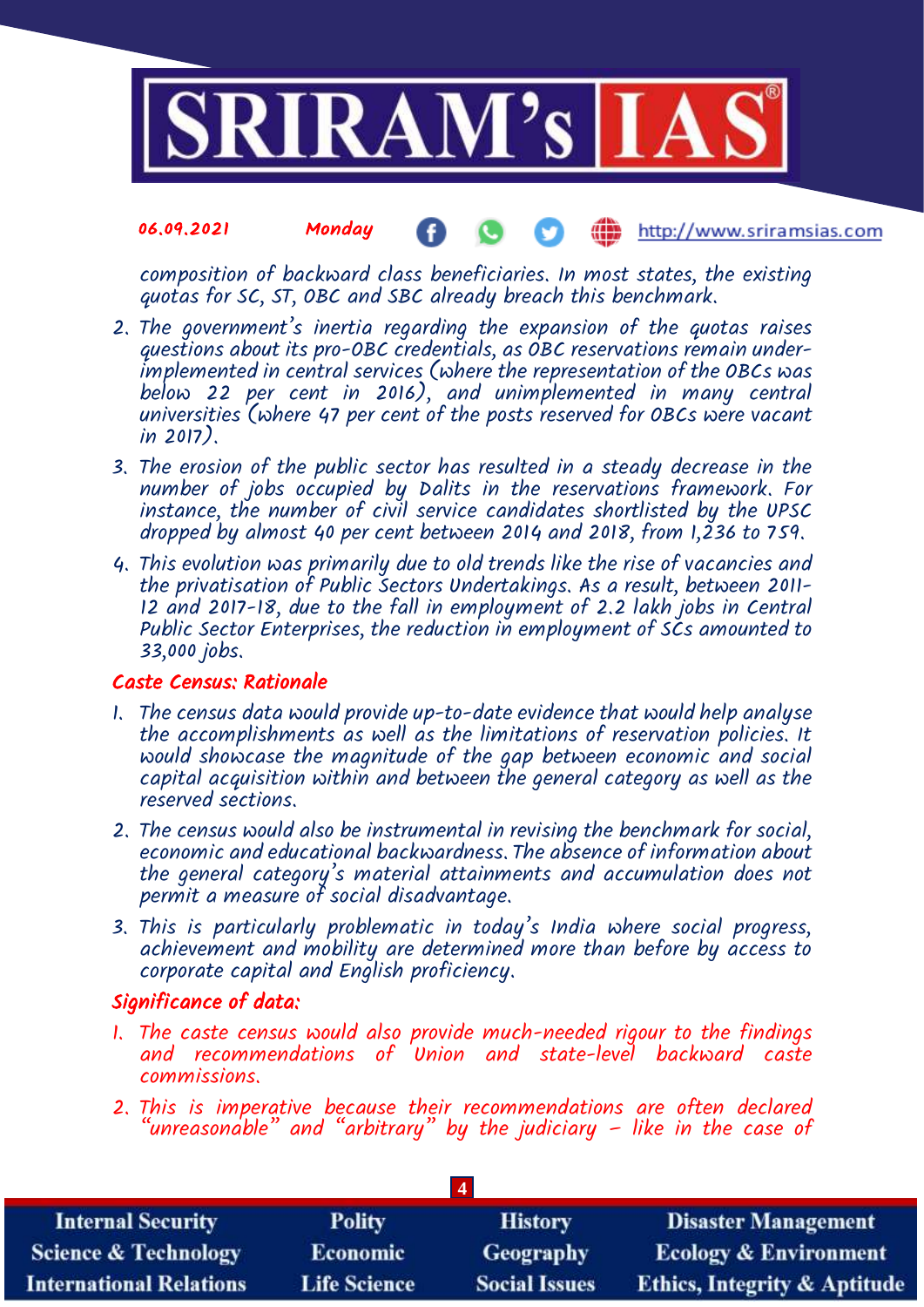

composition of backward class beneficiaries. In most states, the existing quotas for SC, ST, OBC and SBC already breach this benchmark.

- 2. The government's inertia regarding the expansion of the quotas raises questions about its pro-OBC credentials, as OBC reservations remain underimplemented in central services (where the representation of the OBCs was below 22 per cent in 2016), and unimplemented in many central universities (where 47 per cent of the posts reserved for OBCs were vacant in 2017).
- 3. The erosion of the public sector has resulted in a steady decrease in the number of jobs occupied by Dalits in the reservations framework. For instance, the number of civil service candidates shortlisted by the UPSC dropped by almost 40 per cent between 2014 and 2018, from  $1,236$  to 759.
- 4. This evolution was primarily due to old trends like the rise of vacancies and the privatisation of Public Sectors Undertakings. As a result, between 2011- 12 and 2017-18, due to the fall in employment of 2.2 lakh jobs in Central Public Sector Enterprises, the reduction in employment of SCs amounted to 33,000 jobs.

### Caste Census: Rationale

- 1. The census data would provide up-to-date evidence that would help analyse the accomplishments as well as the limitations of reservation policies. It would showcase the magnitude of the gap between economic and social capital acquisition within and between the general category as well as the reserved sections.
- 2. The census would also be instrumental in revising the benchmark for social, economic and educational backwardness. The absence of information about the general category's material attainments and accumulation does not permit a measure of social disadvantage.
- 3. This is particularly problematic in today's India where social progress, achievement and mobility are determined more than before by access to corporate capital and English proficiency.

# Significance of data:

- 1. The caste census would also provide much-needed rigour to the findings and recommendations of Union and state-level backward caste commissions.
- 2. This is imperative because their recommendations are often declared "unreasona<sup>'</sup>ble" and "arbitrary" by the judiciary – like in the case of

| <b>Internal Security</b>        | <b>Polity</b>       | <b>History</b>       | <b>Disaster Management</b>              |
|---------------------------------|---------------------|----------------------|-----------------------------------------|
| <b>Science &amp; Technology</b> | <b>Economic</b>     | Geography            | <b>Ecology &amp; Environment</b>        |
| <b>International Relations</b>  | <b>Life Science</b> | <b>Social Issues</b> | <b>Ethics, Integrity &amp; Aptitude</b> |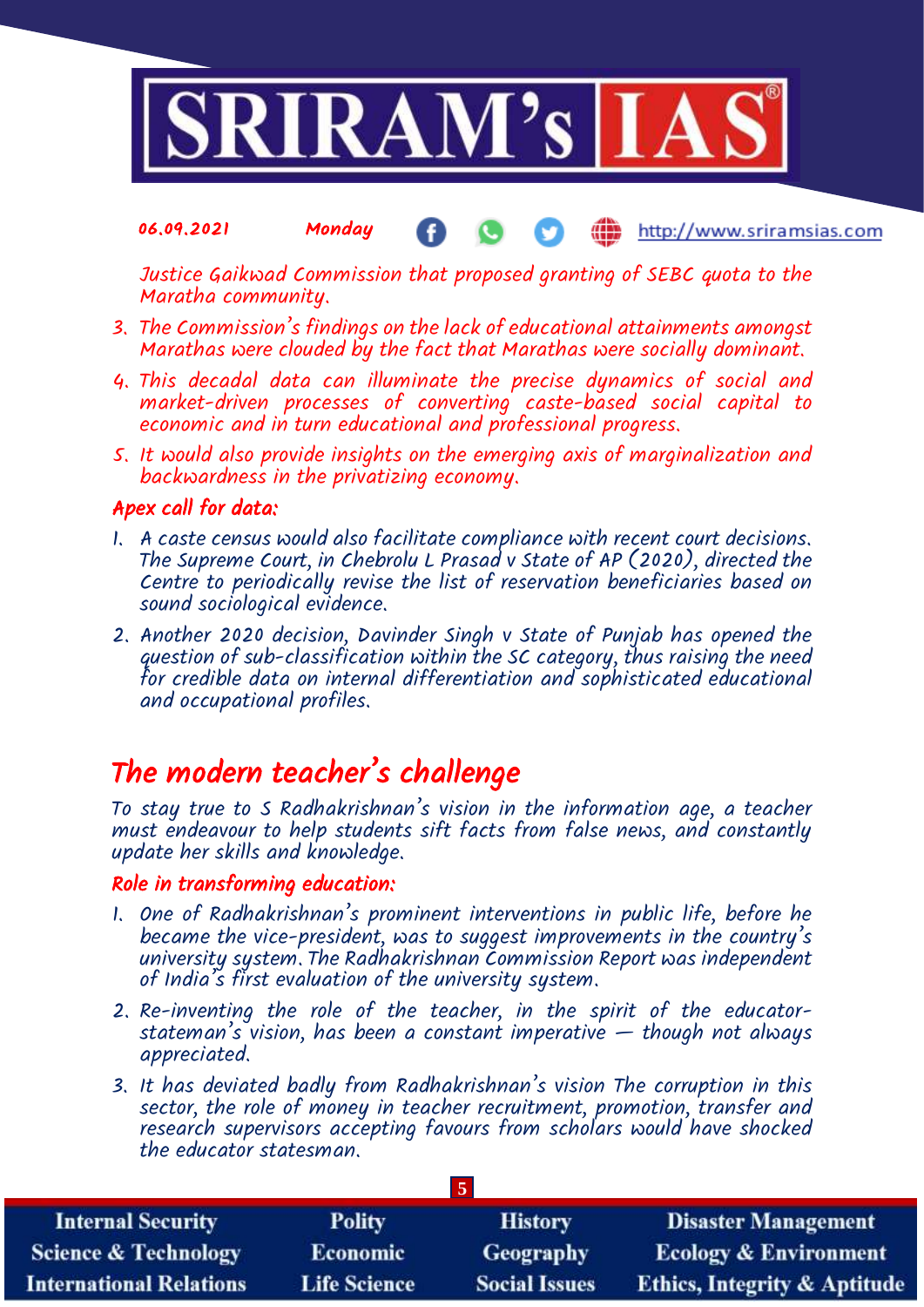

Justice Gaikwad Commission that proposed granting of SEBC quota to the Maratha community.

- 3. The Commission's findings on the lack of educational attainments amongst Marathas were clouded by the fact that Marathas were socially dominant.
- 4. This decadal data can illuminate the precise dynamics of social and market-driven processes of converting caste-based social capital to economic and in turn educational and professional progress.
- 5. It would also provide insights on the emerging axis of marginalization and backwardness in the privatizing economy.

# Apex call for data:

- 1. A caste census would also facilitate compliance with recent court decisions. The Supreme Court, in Chebrolu L Prasad v State of AP (2020), directed the Centre to periodically revise the list of reservation beneficiaries based on sound sociological evidence.
- 2. Another 2020 decision, Davinder Singh v State of Punjab has opened the question of sub-classification within the SC category, thus raising the need for credible data on internal differentiation and sophisticated educational and occupational profiles.

# The modern teacher's challenge

To stay true to S Radhakrishnan's vision in the information age, a teacher must endeavour to help students sift facts from false news, and constantly update her skills and knowledge.

### Role in transforming education:

- 1. One of Radhakrishnan's prominent interventions in public life, before he became the vice-president, was to suggest improvements in the country's university system. The Radhakrishnan Commission Report was independent of India's first evaluation of the university system.
- 2. Re-inventing the role of the teacher, in the spirit of the educatorstateman's vision, has been a constant imperative  $-$  though not always appreciated.
- 3. It has deviated badly from Radhakrishnan's vision The corruption in this sector, the role of money in teacher recruitment, promotion, transfer and research supervisors accepting favours from scholars would have shocked the educator statesman.

| <b>Internal Security</b>        | <b>Polity</b>       | <b>History</b>       | <b>Disaster Management</b>              |
|---------------------------------|---------------------|----------------------|-----------------------------------------|
| <b>Science &amp; Technology</b> | <b>Economic</b>     | Geography            | <b>Ecology &amp; Environment</b>        |
| <b>International Relations</b>  | <b>Life Science</b> | <b>Social Issues</b> | <b>Ethics, Integrity &amp; Aptitude</b> |